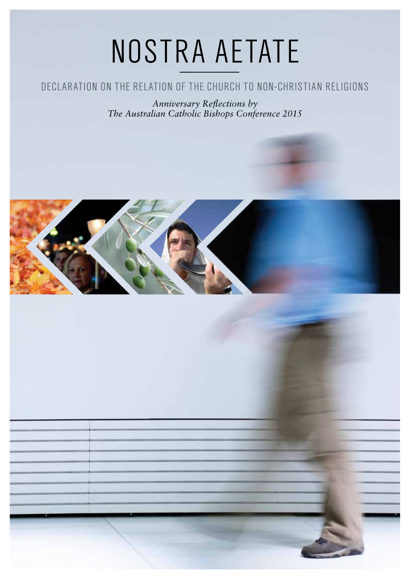# NOSTRA AETATE

## Declaration on the Relation of the Church to Non-Christian Religions

*Anniversary Reflections by The Australian Catholic Bishops Conference 2015*

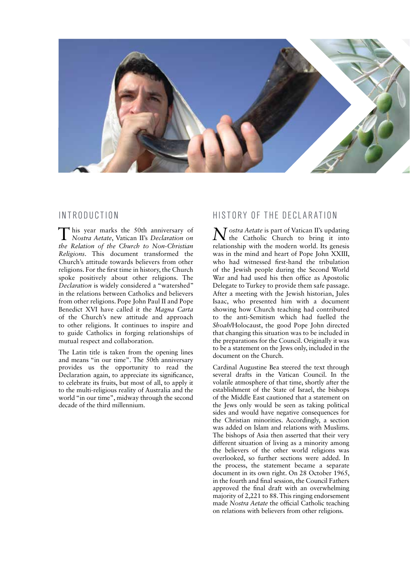

## In troduction

This year marks the 50th anniversary of *Nostra Aetate*, Vatican II's *Declaration on the Relation of the Church to Non-Christian Religions*. This document transformed the Church's attitude towards believers from other religions. For the first time in history, the Church spoke positively about other religions. The *Declaration* is widely considered a "watershed" in the relations between Catholics and believers from other religions. Pope John Paul II and Pope Benedict XVI have called it the *Magna Carta* of the Church's new attitude and approach to other religions. It continues to inspire and to guide Catholics in forging relationships of mutual respect and collaboration.

The Latin title is taken from the opening lines and means "in our time". The 50th anniversary provides us the opportunity to read the Declaration again, to appreciate its significance, to celebrate its fruits, but most of all, to apply it to the multi-religious reality of Australia and the world "in our time", midway through the second decade of the third millennium.

## History of the Declaration

*Nostra Aetate* is part of Vatican II's updating the Catholic Church to bring it into relationship with the modern world. Its genesis was in the mind and heart of Pope John XXIII, who had witnessed first-hand the tribulation of the Jewish people during the Second World War and had used his then office as Apostolic Delegate to Turkey to provide them safe passage. After a meeting with the Jewish historian, Jules Isaac, who presented him with a document showing how Church teaching had contributed to the anti-Semitism which had fuelled the *Shoah*/Holocaust, the good Pope John directed that changing this situation was to be included in the preparations for the Council. Originally it was to be a statement on the Jews only, included in the document on the Church.

Cardinal Augustine Bea steered the text through several drafts in the Vatican Council. In the volatile atmosphere of that time, shortly after the establishment of the State of Israel, the bishops of the Middle East cautioned that a statement on the Jews only would be seen as taking political sides and would have negative consequences for the Christian minorities. Accordingly, a section was added on Islam and relations with Muslims. The bishops of Asia then asserted that their very different situation of living as a minority among the believers of the other world religions was overlooked, so further sections were added. In the process, the statement became a separate document in its own right. On 28 October 1965, in the fourth and final session, the Council Fathers approved the final draft with an overwhelming majority of 2,221 to 88. This ringing endorsement made *Nostra Aetate* the official Catholic teaching on relations with believers from other religions.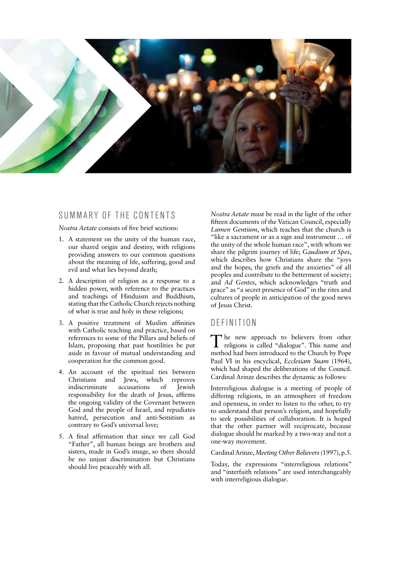

## SUMMARY OF THE CONTENTS

#### *Nostra Aetate* consists of five brief sections:

- 1. A statement on the unity of the human race, our shared origin and destiny, with religions providing answers to our common questions about the meaning of life, suffering, good and evil and what lies beyond death;
- 2. A description of religion as a response to a hidden power, with reference to the practices and teachings of Hinduism and Buddhism, stating that the Catholic Church rejects nothing of what is true and holy in these religions;
- 3. A positive treatment of Muslim affinities with Catholic teaching and practice, based on references to some of the Pillars and beliefs of Islam, proposing that past hostilities be put aside in favour of mutual understanding and cooperation for the common good.
- 4. An account of the spiritual ties between Christians and Jews, which reproves<br>indiscriminate accusations of Iewish indiscriminate accusations of Jewish responsibility for the death of Jesus, affirms the ongoing validity of the Covenant between God and the people of Israel, and repudiates hatred, persecution and anti-Semitism as contrary to God's universal love;
- 5. A final affirmation that since we call God "Father", all human beings are brothers and sisters, made in God's image, so there should be no unjust discrimination but Christians should live peaceably with all.

*Nostra Aetate* must be read in the light of the other fifteen documents of the Vatican Council, especially *Lumen Gentium*, which teaches that the church is "like a sacrament or as a sign and instrument … of the unity of the whole human race", with whom we share the pilgrim journey of life; *Gaudium et Spes*, which describes how Christians share the "joys and the hopes, the griefs and the anxieties" of all peoples and contribute to the betterment of society; and *Ad Gentes*, which acknowledges "truth and grace" as "a secret presence of God" in the rites and cultures of people in anticipation of the good news of Jesus Christ.

## DEFINITION

The new approach to believers from other religions is called "dialogue". This name and method had been introduced to the Church by Pope Paul VI in his encyclical, *Ecclesiam Suam* (1964), which had shaped the deliberations of the Council. Cardinal Arinze describes the dynamic as follows:

Interreligious dialogue is a meeting of people of differing religions, in an atmosphere of freedom and openness, in order to listen to the other, to try to understand that person's religion, and hopefully to seek possibilities of collaboration. It is hoped that the other partner will reciprocate, because dialogue should be marked by a two-way and not a one-way movement.

#### Cardinal Arinze, *Meeting Other Believers* (1997), p.5.

Today, the expressions "interreligious relations" and "interfaith relations" are used interchangeably with interreligious dialogue.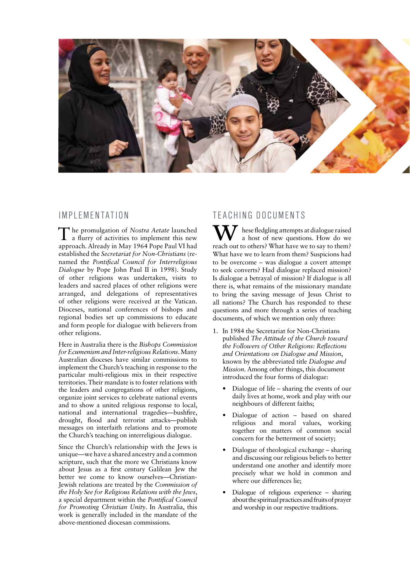

## IMPI FMFNTATION

The promulgation of *Nostra Aetate* launched a flurry of activities to implement this new approach. Already in May 1964 Pope Paul VI had established the *Secretariat for Non-Christians* (renamed the *Pontifical Council for Interreligious Dialogue* by Pope John Paul II in 1998). Study of other religions was undertaken, visits to leaders and sacred places of other religions were arranged, and delegations of representatives of other religions were received at the Vatican. Dioceses, national conferences of bishops and regional bodies set up commissions to educate and form people for dialogue with believers from other religions.

Here in Australia there is the *Bishops Commission for Ecumenism and Inter-religious Relations*. Many Australian dioceses have similar commissions to implement the Church's teaching in response to the particular multi-religious mix in their respective territories. Their mandate is to foster relations with the leaders and congregations of other religions, organize joint services to celebrate national events and to show a united religious response to local, national and international tragedies—bushfire, drought, flood and terrorist attacks—publish messages on interfaith relations and to promote the Church's teaching on interreligious dialogue.

Since the Church's relationship with the Jews is unique—we have a shared ancestry and a common scripture, such that the more we Christians know about Jesus as a first century Galilean Jew the better we come to know ourselves—Christian-Jewish relations are treated by the *Commission of the Holy See for Religious Relations with the Jews*, a special department within the *Pontifical Council for Promoting Christian Unity*. In Australia, this work is generally included in the mandate of the above-mentioned diocesan commissions.

## TEACHING DOCUMENTS

 $\sum$  hese fledgling attempts at dialogue raised a host of new questions. How do we reach out to others? What have we to say to them? What have we to learn from them? Suspicions had to be overcome – was dialogue a covert attempt to seek converts? Had dialogue replaced mission? Is dialogue a betrayal of mission? If dialogue is all there is, what remains of the missionary mandate to bring the saving message of Jesus Christ to all nations? The Church has responded to these questions and more through a series of teaching documents, of which we mention only three:

- 1. In 1984 the Secretariat for Non-Christians published *The Attitude of the Church toward the Followers of Other Religions: Reflections and Orientations on Dialogue and Mission*, known by the abbreviated title *Dialogue and Mission*. Among other things, this document introduced the four forms of dialogue:
	- Dialogue of life sharing the events of our daily lives at home, work and play with our neighbours of different faiths;
	- • Dialogue of action based on shared religious and moral values, working together on matters of common social concern for the betterment of society;
	- Dialogue of theological exchange sharing and discussing our religious beliefs to better understand one another and identify more precisely what we hold in common and where our differences lie;
	- Dialogue of religious experience sharing about the spiritual practices and fruits of prayer and worship in our respective traditions.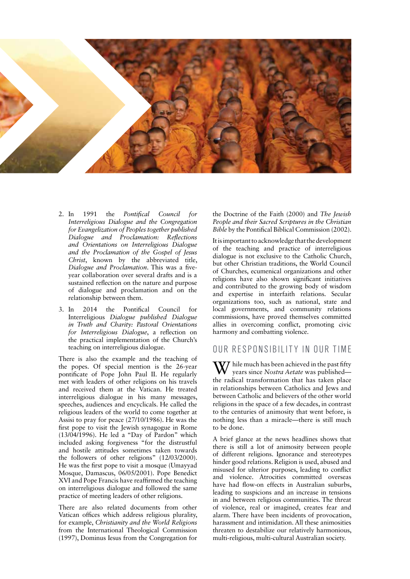

- 2. In 1991 the *Pontifical Council for Interreligious Dialogue and the Congregation for Evangelization of Peoples together published Dialogue and Proclamation: Reflections and Orientations on Interreligious Dialogue and the Proclamation of the Gospel of Jesus Christ*, known by the abbreviated title, *Dialogue and Proclamation*. This was a fiveyear collaboration over several drafts and is a sustained reflection on the nature and purpose of dialogue and proclamation and on the relationship between them.
- 3. In 2014 the Pontifical Council for Interreligious *Dialogue published Dialogue in Truth and Charity: Pastoral Orientations for Interreligious Dialogue*, a reflection on the practical implementation of the Church's teaching on interreligious dialogue.

There is also the example and the teaching of the popes. Of special mention is the 26-year pontificate of Pope John Paul II. He regularly met with leaders of other religions on his travels and received them at the Vatican. He treated interreligious dialogue in his many messages, speeches, audiences and encyclicals. He called the religious leaders of the world to come together at Assisi to pray for peace (27/10/1986). He was the first pope to visit the Jewish synagogue in Rome (13/04/1996). He led a "Day of Pardon" which included asking forgiveness "for the distrustful and hostile attitudes sometimes taken towards the followers of other religions" (12/03/2000). He was the first pope to visit a mosque (Umayyad Mosque, Damascus, 06/05/2001). Pope Benedict XVI and Pope Francis have reaffirmed the teaching on interreligious dialogue and followed the same practice of meeting leaders of other religions.

There are also related documents from other Vatican offices which address religious plurality, for example, *Christianity and the World Religions* from the International Theological Commission (1997), Dominus Iesus from the Congregation for

the Doctrine of the Faith (2000) and *The Jewish People and their Sacred Scriptures in the Christian Bible* by the Pontifical Biblical Commission (2002).

It is important to acknowledge that the development of the teaching and practice of interreligious dialogue is not exclusive to the Catholic Church, but other Christian traditions, the World Council of Churches, ecumenical organizations and other religions have also shown significant initiatives and contributed to the growing body of wisdom and expertise in interfaith relations. Secular organizations too, such as national, state and local governments, and community relations commissions, have proved themselves committed allies in overcoming conflict, promoting civic harmony and combatting violence.

### OUR RESPONSIBILITY IN OUR TIME

Thile much has been achieved in the past fifty years since *Nostra Aetate* was published the radical transformation that has taken place in relationships between Catholics and Jews and between Catholic and believers of the other world religions in the space of a few decades, in contrast to the centuries of animosity that went before, is nothing less than a miracle—there is still much to be done.

A brief glance at the news headlines shows that there is still a lot of animosity between people of different religions. Ignorance and stereotypes hinder good relations. Religion is used, abused and misused for ulterior purposes, leading to conflict and violence. Atrocities committed overseas have had flow-on effects in Australian suburbs, leading to suspicions and an increase in tensions in and between religious communities. The threat of violence, real or imagined, creates fear and alarm. There have been incidents of provocation, harassment and intimidation. All these animosities threaten to destabilize our relatively harmonious, multi-religious, multi-cultural Australian society.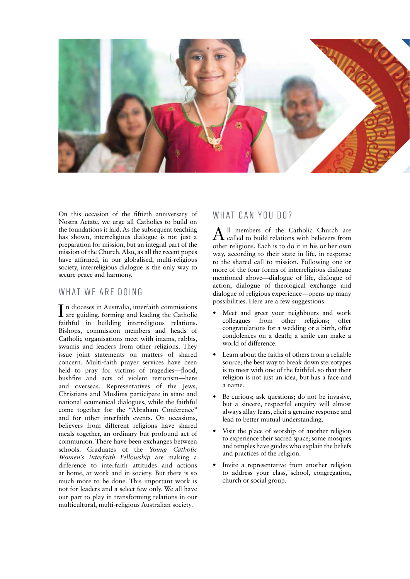

On this occasion of the fiftieth anniversary of Nostra Aetate, we urge all Catholics to build on the foundations it laid. As the subsequent teaching has shown, interreligious dialogue is not just a preparation for mission, but an integral part of the mission of the Church. Also, as all the recent popes have affirmed, in our globalised, multi-religious society, interreligious dialogue is the only way to secure peace and harmony.

## WHAT WE ARE DOING

I n dioceses in Australia, interfaith commissions are guiding, forming and leading the Catholic faithful in building interreligious relations. Bishops, commission members and heads of Catholic organisations meet with imams, rabbis, swamis and leaders from other religions. They issue joint statements on matters of shared concern. Multi-faith prayer services have been held to pray for victims of tragedies—flood, bushfire and acts of violent terrorism—here and overseas. Representatives of the Jews, Christians and Muslims participate in state and national ecumenical dialogues, while the faithful come together for the "Abraham Conference" and for other interfaith events. On occasions, believers from different religions have shared meals together, an ordinary but profound act of communion. There have been exchanges between schools. Graduates of the *Young Catholic Women's Interfaith Fellowship* are making a difference to interfaith attitudes and actions at home, at work and in society. But there is so much more to be done. This important work is not for leaders and a select few only. We all have our part to play in transforming relations in our multicultural, multi-religious Australian society.

## WHAT CAN YOU DO?

All members of the Catholic Church are called to build relations with believers from other religions. Each is to do it in his or her own way, according to their state in life, in response to the shared call to mission. Following one or more of the four forms of interreligious dialogue mentioned above—dialogue of life, dialogue of action, dialogue of theological exchange and dialogue of religious experience—opens up many possibilities. Here are a few suggestions:

- Meet and greet your neighbours and work colleagues from other religions; offer congratulations for a wedding or a birth, offer condolences on a death; a smile can make a world of difference.
- Learn about the faiths of others from a reliable source; the best way to break down stereotypes is to meet with one of the faithful, so that their religion is not just an idea, but has a face and a name.
- Be curious; ask questions; do not be invasive, but a sincere, respectful enquiry will almost always allay fears, elicit a genuine response and lead to better mutual understanding.
- Visit the place of worship of another religion to experience their sacred space; some mosques and temples have guides who explain the beliefs and practices of the religion.
- Invite a representative from another religion to address your class, school, congregation, church or social group.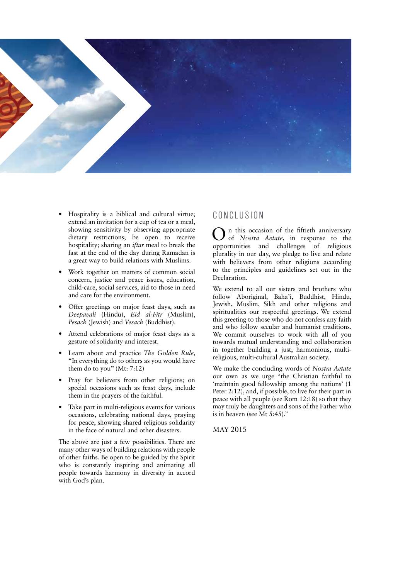

- Hospitality is a biblical and cultural virtue; extend an invitation for a cup of tea or a meal, showing sensitivity by observing appropriate dietary restrictions; be open to receive hospitality; sharing an *iftar* meal to break the fast at the end of the day during Ramadan is a great way to build relations with Muslims.
- Work together on matters of common social concern, justice and peace issues, education, child-care, social services, aid to those in need and care for the environment.
- Offer greetings on major feast days, such as *Deepavali* (Hindu), *Eid al-Fitr* (Muslim), *Pesach* (Jewish) and *Vesach* (Buddhist).
- Attend celebrations of major feast days as a gesture of solidarity and interest.
- Learn about and practice *The Golden Rule*, "In everything do to others as you would have them do to you" (Mt: 7:12)
- • Pray for believers from other religions; on special occasions such as feast days, include them in the prayers of the faithful.
- Take part in multi-religious events for various occasions, celebrating national days, praying for peace, showing shared religious solidarity in the face of natural and other disasters.

The above are just a few possibilities. There are many other ways of building relations with people of other faiths. Be open to be guided by the Spirit who is constantly inspiring and animating all people towards harmony in diversity in accord with God's plan.

## C onclusion

On this occasion of the fiftieth anniversary of *Nostra Aetate*, in response to the opportunities and challenges of religious plurality in our day, we pledge to live and relate with believers from other religions according to the principles and guidelines set out in the Declaration.

We extend to all our sisters and brothers who follow Aboriginal, Baha'i, Buddhist, Hindu, Jewish, Muslim, Sikh and other religions and spiritualities our respectful greetings. We extend this greeting to those who do not confess any faith and who follow secular and humanist traditions. We commit ourselves to work with all of you towards mutual understanding and collaboration in together building a just, harmonious, multireligious, multi-cultural Australian society.

We make the concluding words of *Nostra Aetate* our own as we urge "the Christian faithful to 'maintain good fellowship among the nations' (1 Peter 2:12), and, if possible, to live for their part in peace with all people (see Rom 12:18) so that they may truly be daughters and sons of the Father who is in heaven (see Mt 5:45)."

MAY 2015